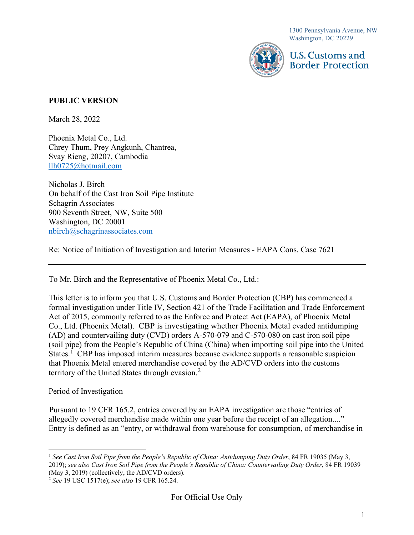1300 Pennsylvania Avenue, NW Washington, DC 20229



U.S. Customs and **Border Protection** 

## **PUBLIC VERSION**

March 28, 2022

Phoenix Metal Co., Ltd. Chrey Thum, Prey Angkunh, Chantrea, Svay Rieng, 20207, Cambodia [llh0725@hotmail.com](mailto:llh0725@hotmail.com) 

Nicholas J. Birch On behalf of the Cast Iron Soil Pipe Institute Schagrin Associates 900 Seventh Street, NW, Suite 500 Washington, DC 20001 [nbirch@schagrinassociates.com](mailto:nbirch@schagrinassociates.com) 

Re: Notice of Initiation of Investigation and Interim Measures - EAPA Cons. Case 7621

To Mr. Birch and the Representative of Phoenix Metal Co., Ltd.:

This letter is to inform you that U.S. Customs and Border Protection (CBP) has commenced a formal investigation under Title IV, Section 421 of the Trade Facilitation and Trade Enforcement Act of 2015, commonly referred to as the Enforce and Protect Act (EAPA), of Phoenix Metal Co., Ltd. (Phoenix Metal). CBP is investigating whether Phoenix Metal evaded antidumping (AD) and countervailing duty (CVD) orders A-570-079 and C-570-080 on cast iron soil pipe (soil pipe) from the People's Republic of China (China) when importing soil pipe into the United States.<sup>[1](#page-0-0)</sup> CBP has imposed interim measures because evidence supports a reasonable suspicion that Phoenix Metal entered merchandise covered by the AD/CVD orders into the customs territory of the United States through evasion.<sup>[2](#page-0-1)</sup>

#### Period of Investigation

Pursuant to 19 CFR 165.2, entries covered by an EAPA investigation are those "entries of allegedly covered merchandise made within one year before the receipt of an allegation...." Entry is defined as an "entry, or withdrawal from warehouse for consumption, of merchandise in

<span id="page-0-0"></span><sup>&</sup>lt;sup>1</sup> See Cast Iron Soil Pipe from the People's Republic of China: Antidumping Duty Order, 84 FR 19035 (May 3, 2019); *see also Cast Iron Soil Pipe from the People's Republic of China: Countervailing Duty Order*, 84 FR 19039 (May 3, 2019) (collectively, the AD/CVD orders).

<span id="page-0-1"></span><sup>2</sup> *See* 19 USC 1517(e); *see also* 19 CFR 165.24.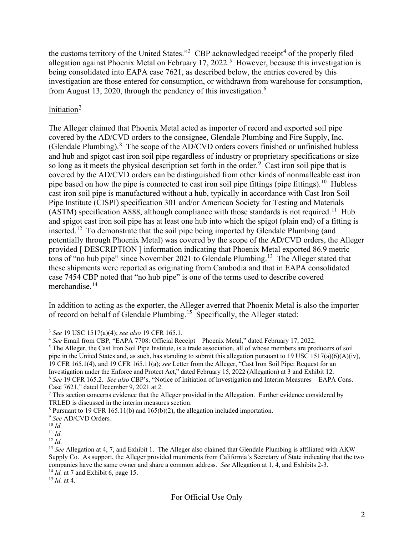the customs territory of the United States."<sup>[3](#page-1-0)</sup> CBP acknowledged receipt<sup>[4](#page-1-1)</sup> of the properly filed allegation against Phoenix Metal on February 17, 2022.<sup>[5](#page-1-2)</sup> However, because this investigation is being consolidated into EAPA case 7621, as described below, the entries covered by this investigation are those entered for consumption, or withdrawn from warehouse for consumption, from August 13, 2020, through the pendency of this investigation.[6](#page-1-3)

# Initiation $\frac{7}{2}$  $\frac{7}{2}$  $\frac{7}{2}$

The Alleger claimed that Phoenix Metal acted as importer of record and exported soil pipe covered by the AD/CVD orders to the consignee, Glendale Plumbing and Fire Supply, Inc. (Glendale Plumbing). $8$  The scope of the AD/CVD orders covers finished or unfinished hubless and hub and spigot cast iron soil pipe regardless of industry or proprietary specifications or size so long as it meets the physical description set forth in the order.<sup>[9](#page-1-6)</sup> Cast iron soil pipe that is covered by the AD/CVD orders can be distinguished from other kinds of nonmalleable cast iron pipe based on how the pipe is connected to cast iron soil pipe fittings (pipe fittings).<sup>[10](#page-1-7)</sup> Hubless cast iron soil pipe is manufactured without a hub, typically in accordance with Cast Iron Soil Pipe Institute (CISPI) specification 301 and/or American Society for Testing and Materials (ASTM) specification A888, although compliance with those standards is not required.<sup>11</sup> Hub and spigot cast iron soil pipe has at least one hub into which the spigot (plain end) of a fitting is inserted.[12](#page-1-9) To demonstrate that the soil pipe being imported by Glendale Plumbing (and potentially through Phoenix Metal) was covered by the scope of the AD/CVD orders, the Alleger provided [ DESCRIPTION ] information indicating that Phoenix Metal exported 86.9 metric tons of "no hub pipe" since November 2021 to Glendale Plumbing.<sup>13</sup> The Alleger stated that these shipments were reported as originating from Cambodia and that in EAPA consolidated case 7454 CBP noted that "no hub pipe" is one of the terms used to describe covered merchandise.<sup>[14](#page-1-11)</sup>

In addition to acting as the exporter, the Alleger averred that Phoenix Metal is also the importer of record on behalf of Glendale Plumbing.[15](#page-1-12) Specifically, the Alleger stated:

<span id="page-1-12"></span><span id="page-1-11"></span><sup>15</sup> *Id.* at 4.

<span id="page-1-0"></span><sup>3</sup> *See* 19 USC 1517(a)(4); *see also* 19 CFR 165.1.

<span id="page-1-1"></span><sup>4</sup> *See* Email from CBP, "EAPA 7708: Official Receipt – Phoenix Metal," dated February 17, 2022.

<span id="page-1-2"></span><sup>&</sup>lt;sup>5</sup> The Alleger, the Cast Iron Soil Pipe Institute, is a trade association, all of whose members are producers of soil pipe in the United States and, as such, has standing to submit this allegation pursuant to 19 USC 1517(a)(6)(A)(iv), 19 CFR 165.1(4), and 19 CFR 165.11(a); *see* Letter from the Alleger, "Cast Iron Soil Pipe: Request for an Investigation under the Enforce and Protect Act," dated February 15, 2022 (Allegation) at 3 and Exhibit 12. <sup>6</sup> *See* 19 CFR 165.2. *See also* CBP's, "Notice of Initiation of Investigation and Interim Measures – EAPA Cons.

<span id="page-1-4"></span><span id="page-1-3"></span>Case 7621," dated December 9, 2021 at 2.<br>7 This section concerns evidence that the Alleger provided in the Allegation. Further evidence considered by TRLED is discussed in the interim measures section.

<span id="page-1-6"></span><span id="page-1-5"></span><sup>8</sup> Pursuant to 19 CFR 165.11(b) and 165(b)(2), the allegation included importation. 9 *See* AD/CVD Orders*.*

<span id="page-1-7"></span><sup>10</sup> *Id.*

<span id="page-1-8"></span><sup>11</sup> *Id.*

<span id="page-1-9"></span><sup>12</sup> *Id.* 

<span id="page-1-10"></span><sup>&</sup>lt;sup>13</sup> *See* Allegation at 4, 7, and Exhibit 1. The Alleger also claimed that Glendale Plumbing is affiliated with AKW Supply Co. As support, the Alleger provided muniments from California's Secretary of State indicating that the two companies have the same owner and share a common address. *See* Allegation at 1, 4, and Exhibits 2-3.  $14$  *Id.* at 7 and Exhibit 6, page 15.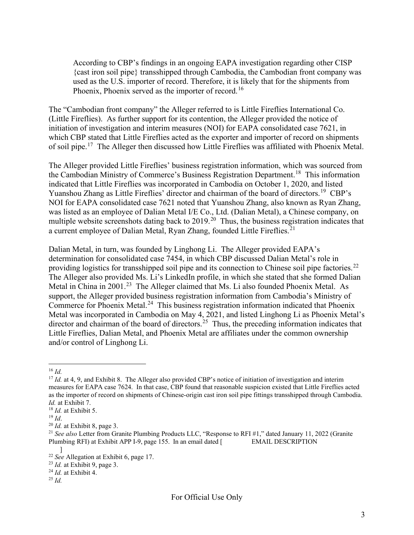According to CBP's findings in an ongoing EAPA investigation regarding other CISP {cast iron soil pipe} transshipped through Cambodia, the Cambodian front company was used as the U.S. importer of record. Therefore, it is likely that for the shipments from Phoenix, Phoenix served as the importer of record.<sup>[16](#page-2-0)</sup>

The "Cambodian front company" the Alleger referred to is Little Fireflies International Co. (Little Fireflies). As further support for its contention, the Alleger provided the notice of initiation of investigation and interim measures (NOI) for EAPA consolidated case 7621, in which CBP stated that Little Fireflies acted as the exporter and importer of record on shipments of soil pipe.[17](#page-2-1) The Alleger then discussed how Little Fireflies was affiliated with Phoenix Metal.

The Alleger provided Little Fireflies' business registration information, which was sourced from the Cambodian Ministry of Commerce's Business Registration Department. [18](#page-2-2) This information indicated that Little Fireflies was incorporated in Cambodia on October 1, 2020, and listed Yuanshou Zhang as Little Fireflies' director and chairman of the board of directors.<sup>[19](#page-2-3)</sup> CBP's NOI for EAPA consolidated case 7621 noted that Yuanshou Zhang, also known as Ryan Zhang, was listed as an employee of Dalian Metal I/E Co., Ltd. (Dalian Metal), a Chinese company, on multiple website screenshots dating back to 2019.<sup>20</sup> Thus, the business registration indicates that a current employee of Dalian Metal, Ryan Zhang, founded Little Fireflies.<sup>[21](#page-2-5)</sup>

Dalian Metal, in turn, was founded by Linghong Li. The Alleger provided EAPA's determination for consolidated case 7454, in which CBP discussed Dalian Metal's role in providing logistics for transshipped soil pipe and its connection to Chinese soil pipe factories.<sup>[22](#page-2-6)</sup> The Alleger also provided Ms. Li's LinkedIn profile, in which she stated that she formed Dalian Metal in China in 2001.<sup>[23](#page-2-7)</sup> The Alleger claimed that Ms. Li also founded Phoenix Metal. As support, the Alleger provided business registration information from Cambodia's Ministry of Commerce for Phoenix Metal.<sup>24</sup> This business registration information indicated that Phoenix Metal was incorporated in Cambodia on May 4, 2021, and listed Linghong Li as Phoenix Metal's director and chairman of the board of directors.<sup>25</sup> Thus, the preceding information indicates that Little Fireflies, Dalian Metal, and Phoenix Metal are affiliates under the common ownership and/or control of Linghong Li.

<span id="page-2-9"></span><sup>25</sup> *Id.*

<span id="page-2-0"></span><sup>16</sup> *Id.*

<span id="page-2-1"></span><sup>&</sup>lt;sup>17</sup> *Id.* at 4, 9, and Exhibit 8. The Alleger also provided CBP's notice of initiation of investigation and interim measures for EAPA case 7624. In that case, CBP found that reasonable suspicion existed that Little Fireflies acted as the importer of record on shipments of Chinese-origin cast iron soil pipe fittings transshipped through Cambodia. *Id.* at Exhibit 7.

<span id="page-2-2"></span><sup>18</sup> *Id.* at Exhibit 5.

<span id="page-2-3"></span><sup>19</sup> *Id*.

<span id="page-2-4"></span><sup>20</sup> *Id.* at Exhibit 8, page 3.

<span id="page-2-5"></span><sup>&</sup>lt;sup>21</sup> See also Letter from Granite Plumbing Products LLC, "Response to RFI #1," dated January 11, 2022 (Granite Plumbing RFI) at Exhibit APP I-9, page 155. In an email dated [ EMAIL DESCRIPTION  $\mathbb{I}$ 

<span id="page-2-6"></span><sup>22</sup> *See* Allegation at Exhibit 6, page 17.

<span id="page-2-7"></span><sup>23</sup> *Id.* at Exhibit 9, page 3.

<span id="page-2-8"></span><sup>24</sup> *Id.* at Exhibit 4.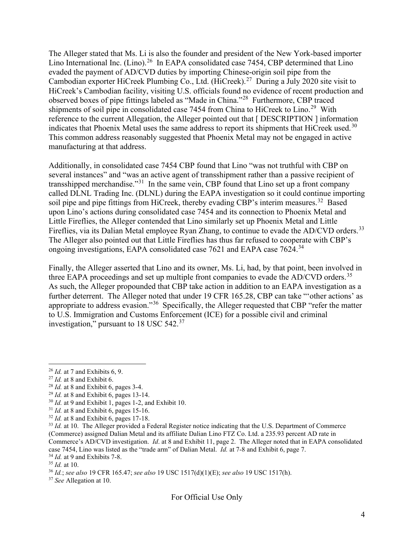The Alleger stated that Ms. Li is also the founder and president of the New York-based importer Lino International Inc. (Lino).<sup>26</sup> In EAPA consolidated case 7454, CBP determined that Lino evaded the payment of AD/CVD duties by importing Chinese-origin soil pipe from the Cambodian exporter HiCreek Plumbing Co., Ltd. (HiCreek).<sup>27</sup> During a July 2020 site visit to HiCreek's Cambodian facility, visiting U.S. officials found no evidence of recent production and observed boxes of pipe fittings labeled as "Made in China."[28](#page-3-2) Furthermore, CBP traced shipments of soil pipe in consolidated case 7454 from China to HiCreek to Lino.<sup>29</sup> With reference to the current Allegation, the Alleger pointed out that [ DESCRIPTION ] information indicates that Phoenix Metal uses the same address to report its shipments that HiCreek used.<sup>[30](#page-3-4)</sup> This common address reasonably suggested that Phoenix Metal may not be engaged in active manufacturing at that address.

Additionally, in consolidated case 7454 CBP found that Lino "was not truthful with CBP on several instances" and "was an active agent of transshipment rather than a passive recipient of transshipped merchandise."[31](#page-3-5) In the same vein, CBP found that Lino set up a front company called DLNL Trading Inc. (DLNL) during the EAPA investigation so it could continue importing soil pipe and pipe fittings from HiCreek, thereby evading CBP's interim measures.<sup>[32](#page-3-6)</sup> Based upon Lino's actions during consolidated case 7454 and its connection to Phoenix Metal and Little Fireflies, the Alleger contended that Lino similarly set up Phoenix Metal and Little Fireflies, via its Dalian Metal employee Ryan Zhang, to continue to evade the AD/CVD orders.<sup>[33](#page-3-7)</sup> The Alleger also pointed out that Little Fireflies has thus far refused to cooperate with CBP's ongoing investigations, EAPA consolidated case 7621 and EAPA case 7624.<sup>[34](#page-3-8)</sup>

Finally, the Alleger asserted that Lino and its owner, Ms. Li, had, by that point, been involved in three EAPA proceedings and set up multiple front companies to evade the AD/CVD orders.<sup>[35](#page-3-9)</sup> As such, the Alleger propounded that CBP take action in addition to an EAPA investigation as a further deterrent. The Alleger noted that under 19 CFR 165.28, CBP can take "'other actions' as appropriate to address evasion."[36](#page-3-10) Specifically, the Alleger requested that CBP "refer the matter to U.S. Immigration and Customs Enforcement (ICE) for a possible civil and criminal investigation," pursuant to 18 USC 542.<sup>[37](#page-3-11)</sup>

<span id="page-3-0"></span><sup>26</sup> *Id.* at 7 and Exhibits 6, 9.

<span id="page-3-1"></span><sup>27</sup> *Id.* at 8 and Exhibit 6.

<span id="page-3-2"></span><sup>28</sup> *Id.* at 8 and Exhibit 6, pages 3-4.

<span id="page-3-3"></span><sup>29</sup> *Id.* at 8 and Exhibit 6, pages 13-14.

<span id="page-3-4"></span> $30$  *Id.* at 9 and Exhibit 1, pages 1-2, and Exhibit 10.

<span id="page-3-5"></span><sup>31</sup> *Id.* at 8 and Exhibit 6, pages 15-16.

<span id="page-3-6"></span><sup>32</sup> *Id.* at 8 and Exhibit 6, pages 17-18.

<span id="page-3-7"></span><sup>&</sup>lt;sup>33</sup> *Id.* at 10. The Alleger provided a Federal Register notice indicating that the U.S. Department of Commerce (Commerce) assigned Dalian Metal and its affiliate Dalian Lino FTZ Co. Ltd. a 235.93 percent AD rate in Commerce's AD/CVD investigation. *Id*. at 8 and Exhibit 11, page 2. The Alleger noted that in EAPA consolidated case 7454, Lino was listed as the "trade arm" of Dalian Metal. *Id.* at 7-8 and Exhibit 6, page 7. <sup>34</sup> *Id.* at 9 and Exhibits 7-8.

<span id="page-3-9"></span><span id="page-3-8"></span><sup>35</sup> *Id.* at 10.

<span id="page-3-10"></span><sup>36</sup> *Id.*; *see also* 19 CFR 165.47; *see also* 19 USC 1517(d)(1)(E); *see also* 19 USC 1517(h).

<span id="page-3-11"></span><sup>37</sup> *See* Allegation at 10.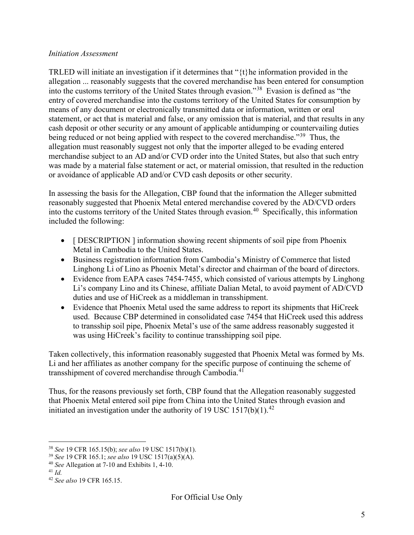#### *Initiation Assessment*

TRLED will initiate an investigation if it determines that "{t}he information provided in the allegation ... reasonably suggests that the covered merchandise has been entered for consumption into the customs territory of the United States through evasion."[38](#page-4-0) Evasion is defined as "the entry of covered merchandise into the customs territory of the United States for consumption by means of any document or electronically transmitted data or information, written or oral statement, or act that is material and false, or any omission that is material, and that results in any cash deposit or other security or any amount of applicable antidumping or countervailing duties being reduced or not being applied with respect to the covered merchandise."<sup>39</sup> Thus, the allegation must reasonably suggest not only that the importer alleged to be evading entered merchandise subject to an AD and/or CVD order into the United States, but also that such entry was made by a material false statement or act, or material omission, that resulted in the reduction or avoidance of applicable AD and/or CVD cash deposits or other security.

In assessing the basis for the Allegation, CBP found that the information the Alleger submitted reasonably suggested that Phoenix Metal entered merchandise covered by the AD/CVD orders into the customs territory of the United States through evasion.<sup>40</sup> Specifically, this information included the following:

- [ DESCRIPTION ] information showing recent shipments of soil pipe from Phoenix Metal in Cambodia to the United States.
- Business registration information from Cambodia's Ministry of Commerce that listed Linghong Li of Lino as Phoenix Metal's director and chairman of the board of directors.
- Evidence from EAPA cases 7454-7455, which consisted of various attempts by Linghong Li's company Lino and its Chinese, affiliate Dalian Metal, to avoid payment of AD/CVD duties and use of HiCreek as a middleman in transshipment.
- Evidence that Phoenix Metal used the same address to report its shipments that HiCreek used. Because CBP determined in consolidated case 7454 that HiCreek used this address to transship soil pipe, Phoenix Metal's use of the same address reasonably suggested it was using HiCreek's facility to continue transshipping soil pipe.

Taken collectively, this information reasonably suggested that Phoenix Metal was formed by Ms. Li and her affiliates as another company for the specific purpose of continuing the scheme of transshipment of covered merchandise through Cambodia.<sup>[41](#page-4-3)</sup>

Thus, for the reasons previously set forth, CBP found that the Allegation reasonably suggested that Phoenix Metal entered soil pipe from China into the United States through evasion and initiated an investigation under the authority of 19 USC 1517(b)(1).<sup>[42](#page-4-4)</sup>

<span id="page-4-0"></span><sup>38</sup> *See* 19 CFR 165.15(b); *see also* 19 USC 1517(b)(1). 39 *See* 19 CFR 165.1; *see also* 19 USC 1517(a)(5)(A).

<span id="page-4-2"></span><span id="page-4-1"></span><sup>40</sup> *See* Allegation at 7-10 and Exhibits 1, 4-10.

<span id="page-4-3"></span><sup>41</sup> *Id.*

<span id="page-4-4"></span><sup>42</sup> *See also* 19 CFR 165.15.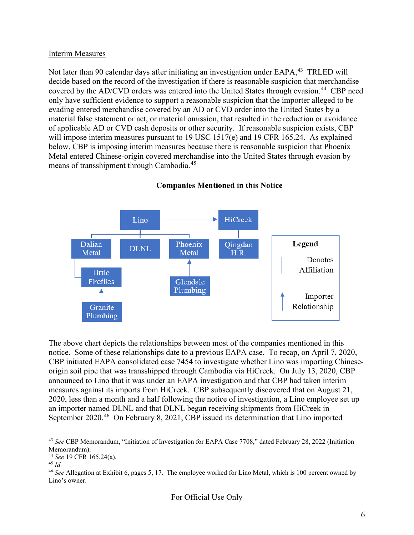#### Interim Measures

Not later than 90 calendar days after initiating an investigation under EAPA,<sup>[43](#page-5-0)</sup> TRLED will decide based on the record of the investigation if there is reasonable suspicion that merchandise covered by the AD/CVD orders was entered into the United States through evasion.<sup>[44](#page-5-1)</sup> CBP need only have sufficient evidence to support a reasonable suspicion that the importer alleged to be evading entered merchandise covered by an AD or CVD order into the United States by a material false statement or act, or material omission, that resulted in the reduction or avoidance of applicable AD or CVD cash deposits or other security. If reasonable suspicion exists, CBP will impose interim measures pursuant to 19 USC 1517(e) and 19 CFR 165.24. As explained below, CBP is imposing interim measures because there is reasonable suspicion that Phoenix Metal entered Chinese-origin covered merchandise into the United States through evasion by means of transshipment through Cambodia.<sup>[45](#page-5-2)</sup>



#### **Companies Mentioned in this Notice**

The above chart depicts the relationships between most of the companies mentioned in this notice. Some of these relationships date to a previous EAPA case. To recap, on April 7, 2020, CBP initiated EAPA consolidated case 7454 to investigate whether Lino was importing Chineseorigin soil pipe that was transshipped through Cambodia via HiCreek. On July 13, 2020, CBP announced to Lino that it was under an EAPA investigation and that CBP had taken interim measures against its imports from HiCreek. CBP subsequently discovered that on August 21, 2020, less than a month and a half following the notice of investigation, a Lino employee set up an importer named DLNL and that DLNL began receiving shipments from HiCreek in September 2020.<sup>[46](#page-5-3)</sup> On February 8, 2021, CBP issued its determination that Lino imported

<span id="page-5-0"></span><sup>43</sup> *See* CBP Memorandum, "Initiation of Investigation for EAPA Case 7708," dated February 28, 2022 (Initiation Memorandum).

<span id="page-5-1"></span><sup>44</sup> *See* 19 CFR 165.24(a).

<span id="page-5-2"></span><sup>45</sup> *Id.*

<span id="page-5-3"></span><sup>46</sup> *See* Allegation at Exhibit 6, pages 5, 17. The employee worked for Lino Metal, which is 100 percent owned by Lino's owner.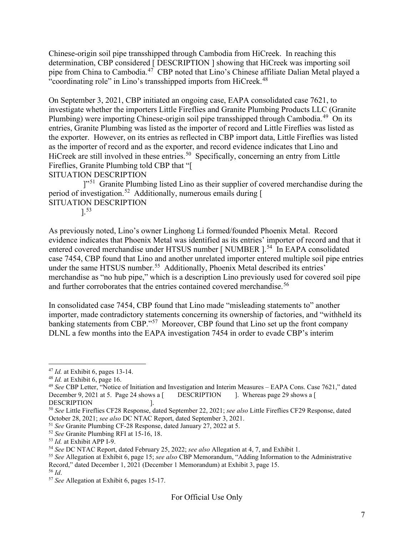Chinese-origin soil pipe transshipped through Cambodia from HiCreek. In reaching this determination, CBP considered [ DESCRIPTION ] showing that HiCreek was importing soil pipe from China to Cambodia.<sup>47</sup> CBP noted that Lino's Chinese affiliate Dalian Metal played a "coordinating role" in Lino's transshipped imports from HiCreek.<sup>[48](#page-6-1)</sup>

On September 3, 2021, CBP initiated an ongoing case, EAPA consolidated case 7621, to investigate whether the importers Little Fireflies and Granite Plumbing Products LLC (Granite Plumbing) were importing Chinese-origin soil pipe transshipped through Cambodia.<sup>49</sup> On its entries, Granite Plumbing was listed as the importer of record and Little Fireflies was listed as the exporter. However, on its entries as reflected in CBP import data, Little Fireflies was listed as the importer of record and as the exporter, and record evidence indicates that Lino and HiCreek are still involved in these entries.<sup>50</sup> Specifically, concerning an entry from Little Fireflies, Granite Plumbing told CBP that "[

SITUATION DESCRIPTION

<sup>1,[51](#page-6-4)</sup> Granite Plumbing listed Lino as their supplier of covered merchandise during the period of investigation.<sup>[52](#page-6-5)</sup> Additionally, numerous emails during [ SITUATION DESCRIPTION

].[53](#page-6-6)

As previously noted, Lino's owner Linghong Li formed/founded Phoenix Metal. Record evidence indicates that Phoenix Metal was identified as its entries' importer of record and that it entered covered merchandise under HTSUS number [ NUMBER ].<sup>54</sup> In EAPA consolidated case 7454, CBP found that Lino and another unrelated importer entered multiple soil pipe entries under the same HTSUS number.<sup>[55](#page-6-8)</sup> Additionally, Phoenix Metal described its entries' merchandise as "no hub pipe," which is a description Lino previously used for covered soil pipe and further corroborates that the entries contained covered merchandise. [56](#page-6-9)

In consolidated case 7454, CBP found that Lino made "misleading statements to" another importer, made contradictory statements concerning its ownership of factories, and "withheld its banking statements from CBP."<sup>[57](#page-6-10)</sup> Moreover, CBP found that Lino set up the front company DLNL a few months into the EAPA investigation 7454 in order to evade CBP's interim

<span id="page-6-0"></span><sup>47</sup> *Id.* at Exhibit 6, pages 13-14.

<span id="page-6-1"></span><sup>48</sup> *Id.* at Exhibit 6, page 16.

<span id="page-6-2"></span><sup>&</sup>lt;sup>49</sup> *See* CBP Letter, "Notice of Initiation and Investigation and Interim Measures – EAPA Cons. Case 7621," dated December 9, 2021 at 5. Page 24 shows a [ DESCRIPTION ]. Whereas page 29 shows a [ DESCRIPTION ]. Whereas page 29 shows a  $\lceil$ DESCRIPTION 1.

<span id="page-6-3"></span><sup>50</sup> *See* Little Fireflies CF28 Response, dated September 22, 2021; *see also* Little Fireflies CF29 Response, dated October 28, 2021; *see also* DC NTAC Report, dated September 3, 2021.

<span id="page-6-4"></span><sup>51</sup> *See* Granite Plumbing CF-28 Response, dated January 27, 2022 at 5.

<span id="page-6-5"></span><sup>52</sup> *See* Granite Plumbing RFI at 15-16, 18.

<span id="page-6-6"></span><sup>53</sup> *Id.* at Exhibit APP I-9.

<span id="page-6-7"></span><sup>54</sup> *See* DC NTAC Report, dated February 25, 2022; *see also* Allegation at 4, 7, and Exhibit 1.

<span id="page-6-8"></span><sup>55</sup> *See* Allegation at Exhibit 6, page 15; *see also* CBP Memorandum, "Adding Information to the Administrative Record," dated December 1, 2021 (December 1 Memorandum) at Exhibit 3, page 15.

<span id="page-6-9"></span><sup>56</sup> *Id*.

<span id="page-6-10"></span><sup>57</sup> *See* Allegation at Exhibit 6, pages 15-17.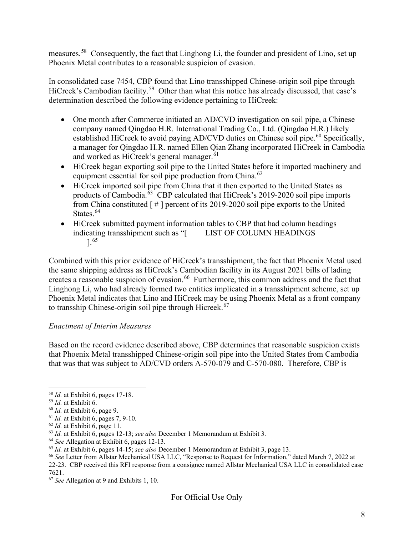measures.[58](#page-7-0) Consequently, the fact that Linghong Li, the founder and president of Lino, set up Phoenix Metal contributes to a reasonable suspicion of evasion.

In consolidated case 7454, CBP found that Lino transshipped Chinese-origin soil pipe through HiCreek's Cambodian facility.<sup>[59](#page-7-1)</sup> Other than what this notice has already discussed, that case's determination described the following evidence pertaining to HiCreek:

- One month after Commerce initiated an AD/CVD investigation on soil pipe, a Chinese company named Qingdao H.R. International Trading Co., Ltd. (Qingdao H.R.) likely established HiCreek to avoid paying AD/CVD duties on Chinese soil pipe.<sup>[60](#page-7-2)</sup> Specifically, a manager for Qingdao H.R. named Ellen Qian Zhang incorporated HiCreek in Cambodia and worked as HiCreek's general manager.<sup>[61](#page-7-3)</sup>
- HiCreek began exporting soil pipe to the United States before it imported machinery and equipment essential for soil pipe production from China.<sup>[62](#page-7-4)</sup>
- HiCreek imported soil pipe from China that it then exported to the United States as products of Cambodia. $\overline{63}$  $\overline{63}$  $\overline{63}$  CBP calculated that HiCreek's 2019-2020 soil pipe imports from China constituted [ # ] percent of its 2019-2020 soil pipe exports to the United States.<sup>[64](#page-7-6)</sup>
- HiCreek submitted payment information tables to CBP that had column headings indicating transshipment such as "[ LIST OF COLUMN HEADINGS ]. [65](#page-7-7)

Combined with this prior evidence of HiCreek's transshipment, the fact that Phoenix Metal used the same shipping address as HiCreek's Cambodian facility in its August 2021 bills of lading creates a reasonable suspicion of evasion. [66](#page-7-8) Furthermore, this common address and the fact that Linghong Li, who had already formed two entities implicated in a transshipment scheme, set up Phoenix Metal indicates that Lino and HiCreek may be using Phoenix Metal as a front company to transship Chinese-origin soil pipe through Hicreek.<sup>[67](#page-7-9)</sup>

## *Enactment of Interim Measures*

Based on the record evidence described above, CBP determines that reasonable suspicion exists that Phoenix Metal transshipped Chinese-origin soil pipe into the United States from Cambodia that was that was subject to AD/CVD orders A-570-079 and C-570-080. Therefore, CBP is

- <span id="page-7-3"></span><sup>61</sup> *Id.* at Exhibit 6, pages 7, 9-10.
- <span id="page-7-4"></span><sup>62</sup> *Id.* at Exhibit 6, page 11.

<span id="page-7-6"></span><sup>64</sup> *See* Allegation at Exhibit 6, pages 12-13.

<span id="page-7-0"></span><sup>58</sup> *Id.* at Exhibit 6, pages 17-18.

<span id="page-7-1"></span><sup>59</sup> *Id.* at Exhibit 6.

<span id="page-7-2"></span><sup>60</sup> *Id.* at Exhibit 6, page 9.

<span id="page-7-5"></span><sup>63</sup> *Id.* at Exhibit 6, pages 12-13; *see also* December 1 Memorandum at Exhibit 3.

<span id="page-7-7"></span><sup>65</sup> *Id.* at Exhibit 6, pages 14-15; *see also* December 1 Memorandum at Exhibit 3, page 13.

<span id="page-7-8"></span><sup>66</sup> *See* Letter from Allstar Mechanical USA LLC, "Response to Request for Information," dated March 7, 2022 at 22-23. CBP received this RFI response from a consignee named Allstar Mechanical USA LLC in consolidated case 7621.

<span id="page-7-9"></span><sup>67</sup> *See* Allegation at 9 and Exhibits 1, 10.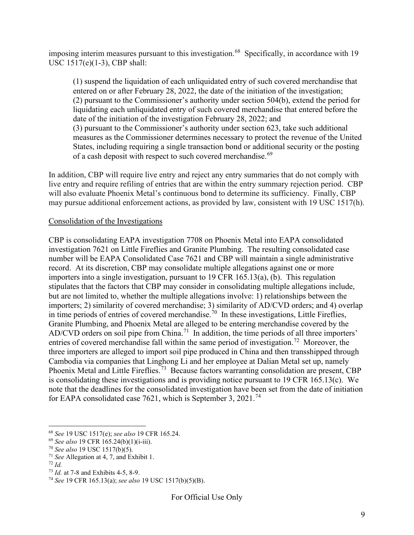imposing interim measures pursuant to this investigation.<sup>68</sup> Specifically, in accordance with 19 USC 1517(e)(1-3), CBP shall:

(1) suspend the liquidation of each unliquidated entry of such covered merchandise that entered on or after February 28, 2022, the date of the initiation of the investigation; (2) pursuant to the Commissioner's authority under section 504(b), extend the period for liquidating each unliquidated entry of such covered merchandise that entered before the date of the initiation of the investigation February 28, 2022; and (3) pursuant to the Commissioner's authority under section 623, take such additional measures as the Commissioner determines necessary to protect the revenue of the United States, including requiring a single transaction bond or additional security or the posting of a cash deposit with respect to such covered merchandise.<sup>[69](#page-8-1)</sup>

In addition, CBP will require live entry and reject any entry summaries that do not comply with live entry and require refiling of entries that are within the entry summary rejection period. CBP will also evaluate Phoenix Metal's continuous bond to determine its sufficiency. Finally, CBP may pursue additional enforcement actions, as provided by law, consistent with 19 USC 1517(h).

## Consolidation of the Investigations

CBP is consolidating EAPA investigation 7708 on Phoenix Metal into EAPA consolidated investigation 7621 on Little Fireflies and Granite Plumbing. The resulting consolidated case number will be EAPA Consolidated Case 7621 and CBP will maintain a single administrative record. At its discretion, CBP may consolidate multiple allegations against one or more importers into a single investigation, pursuant to 19 CFR 165.13(a), (b). This regulation stipulates that the factors that CBP may consider in consolidating multiple allegations include, but are not limited to, whether the multiple allegations involve: 1) relationships between the importers; 2) similarity of covered merchandise; 3) similarity of AD/CVD orders; and 4) overlap in time periods of entries of covered merchandise.<sup>[70](#page-8-2)</sup> In these investigations, Little Fireflies, Granite Plumbing, and Phoenix Metal are alleged to be entering merchandise covered by the AD/CVD orders on soil pipe from China.<sup>71</sup> In addition, the time periods of all three importers' entries of covered merchandise fall within the same period of investigation.<sup>72</sup> Moreover, the three importers are alleged to import soil pipe produced in China and then transshipped through Cambodia via companies that Linghong Li and her employee at Dalian Metal set up, namely Phoenix Metal and Little Fireflies.<sup>[73](#page-8-5)</sup> Because factors warranting consolidation are present, CBP is consolidating these investigations and is providing notice pursuant to 19 CFR 165.13(c). We note that the deadlines for the consolidated investigation have been set from the date of initiation for EAPA consolidated case 7621, which is September 3, 2021.<sup>[74](#page-8-6)</sup>

<span id="page-8-3"></span><sup>71</sup> *See* Allegation at 4, 7, and Exhibit 1.

<span id="page-8-0"></span><sup>68</sup> *See* 19 USC 1517(e); *see also* 19 CFR 165.24.

<span id="page-8-1"></span><sup>69</sup> *See also* 19 CFR 165.24(b)(1)(i-iii).

<span id="page-8-2"></span><sup>70</sup> *See also* 19 USC 1517(b)(5).

<span id="page-8-4"></span><sup>72</sup> *Id.*

<span id="page-8-5"></span><sup>73</sup> *Id.* at 7-8 and Exhibits 4-5, 8-9.

<span id="page-8-6"></span><sup>74</sup> *See* 19 CFR 165.13(a); *see also* 19 USC 1517(b)(5)(B).